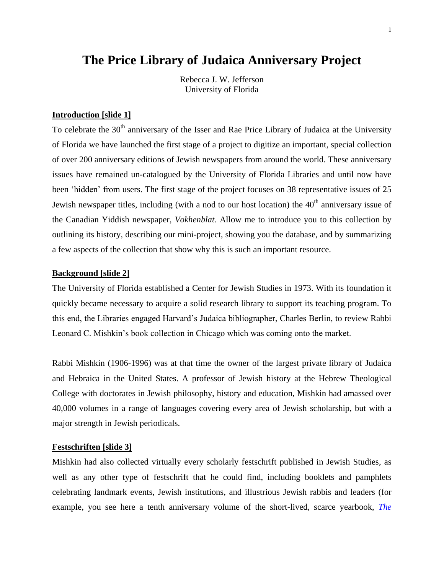# **The Price Library of Judaica Anniversary Project**

Rebecca J. W. Jefferson University of Florida

#### **Introduction [slide 1]**

To celebrate the 30<sup>th</sup> anniversary of the Isser and Rae Price Library of Judaica at the University of Florida we have launched the first stage of a project to digitize an important, special collection of over 200 anniversary editions of Jewish newspapers from around the world. These anniversary issues have remained un-catalogued by the University of Florida Libraries and until now have been 'hidden' from users. The first stage of the project focuses on 38 representative issues of 25 Jewish newspaper titles, including (with a nod to our host location) the  $40<sup>th</sup>$  anniversary issue of the Canadian Yiddish newspaper, *Vokhenblat.* Allow me to introduce you to this collection by outlining its history, describing our mini-project, showing you the database, and by summarizing a few aspects of the collection that show why this is such an important resource.

#### **Background [slide 2]**

The University of Florida established a Center for Jewish Studies in 1973. With its foundation it quickly became necessary to acquire a solid research library to support its teaching program. To this end, the Libraries engaged Harvard's Judaica bibliographer, Charles Berlin, to review Rabbi Leonard C. Mishkin's book collection in Chicago which was coming onto the market.

Rabbi Mishkin (1906-1996) was at that time the owner of the largest private library of Judaica and Hebraica in the United States. A professor of Jewish history at the Hebrew Theological College with doctorates in Jewish philosophy, history and education, Mishkin had amassed over 40,000 volumes in a range of languages covering every area of Jewish scholarship, but with a major strength in Jewish periodicals.

## **Festschriften [slide 3]**

Mishkin had also collected virtually every scholarly festschrift published in Jewish Studies, as well as any other type of festschrift that he could find, including booklets and pamphlets celebrating landmark events, Jewish institutions, and illustrious Jewish rabbis and leaders (for example, you see here a tenth anniversary volume of the short-lived, scarce yearbook, *[The](http://ufdc.ufl.edu/UF00072065)*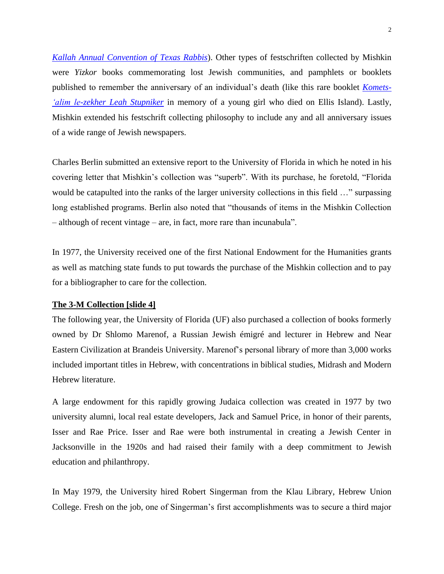*Kallah Annual Convention of Texas Rabbis*). Other types of festschriften collected by Mishkin were *Yizkor* books commemorating lost Jewish communities, and pamphlets or booklets published to remember the anniversary of an individual's death (like this rare booklet *[Komets-](http://ufdc.ufl.edu/UF00103481/00001?td=stupniker) ['alim le-zekher Leah Stupniker](http://ufdc.ufl.edu/UF00103481/00001?td=stupniker)* in memory of a young girl who died on Ellis Island). Lastly, Mishkin extended his festschrift collecting philosophy to include any and all anniversary issues of a wide range of Jewish newspapers.

Charles Berlin submitted an extensive report to the University of Florida in which he noted in his covering letter that Mishkin's collection was "superb". With its purchase, he foretold, "Florida would be catapulted into the ranks of the larger university collections in this field …" surpassing long established programs. Berlin also noted that "thousands of items in the Mishkin Collection – although of recent vintage – are, in fact, more rare than incunabula".

In 1977, the University received one of the first National Endowment for the Humanities grants as well as matching state funds to put towards the purchase of the Mishkin collection and to pay for a bibliographer to care for the collection.

#### **The 3-M Collection [slide 4]**

The following year, the University of Florida (UF) also purchased a collection of books formerly owned by Dr Shlomo Marenof, a Russian Jewish émigré and lecturer in Hebrew and Near Eastern Civilization at Brandeis University. Marenof's personal library of more than 3,000 works included important titles in Hebrew, with concentrations in biblical studies, Midrash and Modern Hebrew literature.

A large endowment for this rapidly growing Judaica collection was created in 1977 by two university alumni, local real estate developers, Jack and Samuel Price, in honor of their parents, Isser and Rae Price. Isser and Rae were both instrumental in creating a Jewish Center in Jacksonville in the 1920s and had raised their family with a deep commitment to Jewish education and philanthropy.

In May 1979, the University hired Robert Singerman from the Klau Library, Hebrew Union College. Fresh on the job, one of Singerman's first accomplishments was to secure a third major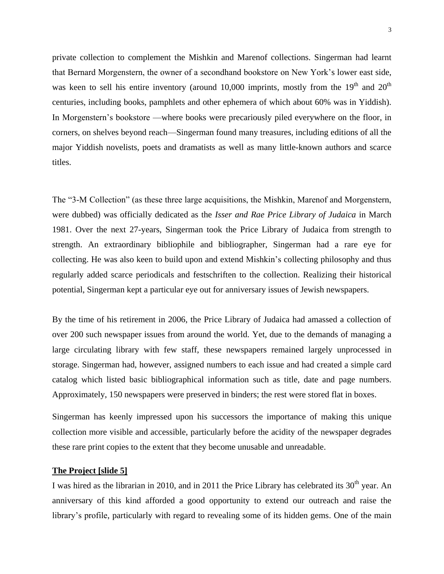private collection to complement the Mishkin and Marenof collections. Singerman had learnt that Bernard Morgenstern, the owner of a secondhand bookstore on New York's lower east side, was keen to sell his entire inventory (around 10,000 imprints, mostly from the  $19<sup>th</sup>$  and  $20<sup>th</sup>$ centuries, including books, pamphlets and other ephemera of which about 60% was in Yiddish). In Morgenstern's bookstore —where books were precariously piled everywhere on the floor, in corners, on shelves beyond reach—Singerman found many treasures, including editions of all the major Yiddish novelists, poets and dramatists as well as many little-known authors and scarce titles.

The "3-M Collection" (as these three large acquisitions, the Mishkin, Marenof and Morgenstern, were dubbed) was officially dedicated as the *Isser and Rae Price Library of Judaica* in March 1981. Over the next 27-years, Singerman took the Price Library of Judaica from strength to strength. An extraordinary bibliophile and bibliographer, Singerman had a rare eye for collecting. He was also keen to build upon and extend Mishkin's collecting philosophy and thus regularly added scarce periodicals and festschriften to the collection. Realizing their historical potential, Singerman kept a particular eye out for anniversary issues of Jewish newspapers.

By the time of his retirement in 2006, the Price Library of Judaica had amassed a collection of over 200 such newspaper issues from around the world. Yet, due to the demands of managing a large circulating library with few staff, these newspapers remained largely unprocessed in storage. Singerman had, however, assigned numbers to each issue and had created a simple card catalog which listed basic bibliographical information such as title, date and page numbers. Approximately, 150 newspapers were preserved in binders; the rest were stored flat in boxes.

Singerman has keenly impressed upon his successors the importance of making this unique collection more visible and accessible, particularly before the acidity of the newspaper degrades these rare print copies to the extent that they become unusable and unreadable.

#### **The Project [slide 5]**

I was hired as the librarian in 2010, and in 2011 the Price Library has celebrated its  $30<sup>th</sup>$  year. An anniversary of this kind afforded a good opportunity to extend our outreach and raise the library's profile, particularly with regard to revealing some of its hidden gems. One of the main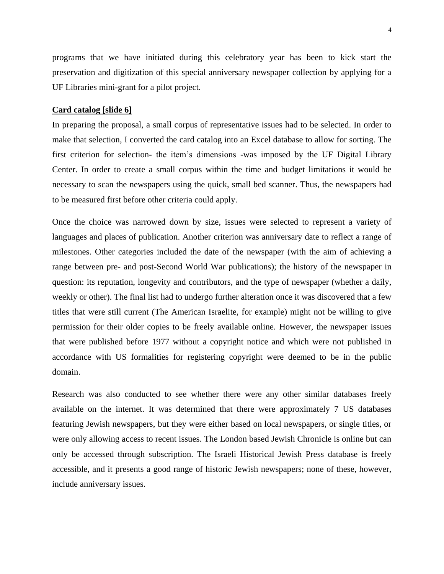programs that we have initiated during this celebratory year has been to kick start the preservation and digitization of this special anniversary newspaper collection by applying for a UF Libraries mini-grant for a pilot project.

#### **Card catalog [slide 6]**

In preparing the proposal, a small corpus of representative issues had to be selected. In order to make that selection, I converted the card catalog into an Excel database to allow for sorting. The first criterion for selection- the item's dimensions -was imposed by the UF Digital Library Center. In order to create a small corpus within the time and budget limitations it would be necessary to scan the newspapers using the quick, small bed scanner. Thus, the newspapers had to be measured first before other criteria could apply.

Once the choice was narrowed down by size, issues were selected to represent a variety of languages and places of publication. Another criterion was anniversary date to reflect a range of milestones. Other categories included the date of the newspaper (with the aim of achieving a range between pre- and post-Second World War publications); the history of the newspaper in question: its reputation, longevity and contributors, and the type of newspaper (whether a daily, weekly or other). The final list had to undergo further alteration once it was discovered that a few titles that were still current (The American Israelite, for example) might not be willing to give permission for their older copies to be freely available online. However, the newspaper issues that were published before 1977 without a copyright notice and which were not published in accordance with US formalities for registering copyright were deemed to be in the public domain.

Research was also conducted to see whether there were any other similar databases freely available on the internet. It was determined that there were approximately 7 US databases featuring Jewish newspapers, but they were either based on local newspapers, or single titles, or were only allowing access to recent issues. The London based Jewish Chronicle is online but can only be accessed through subscription. The Israeli Historical Jewish Press database is freely accessible, and it presents a good range of historic Jewish newspapers; none of these, however, include anniversary issues.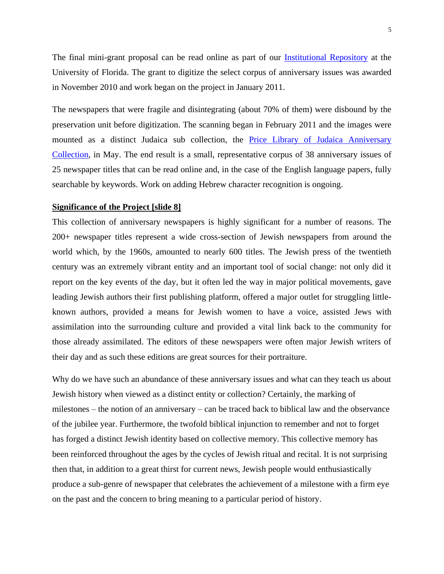The final mini-grant proposal can be read online as part of our [Institutional Repository](http://ufdc.ufl.edu/UF00103161/00001) at the University of Florida. The grant to digitize the select corpus of anniversary issues was awarded in November 2010 and work began on the project in January 2011.

The newspapers that were fragile and disintegrating (about 70% of them) were disbound by the preservation unit before digitization. The scanning began in February 2011 and the images were mounted as a distinct Judaica sub collection, the [Price Library of Judaica Anniversary](http://ufdc.ufl.edu/ianniversary)  [Collection,](http://ufdc.ufl.edu/ianniversary) in May. The end result is a small, representative corpus of 38 anniversary issues of 25 newspaper titles that can be read online and, in the case of the English language papers, fully searchable by keywords. Work on adding Hebrew character recognition is ongoing.

## **Significance of the Project [slide 8]**

This collection of anniversary newspapers is highly significant for a number of reasons. The 200+ newspaper titles represent a wide cross-section of Jewish newspapers from around the world which, by the 1960s, amounted to nearly 600 titles. The Jewish press of the twentieth century was an extremely vibrant entity and an important tool of social change: not only did it report on the key events of the day, but it often led the way in major political movements, gave leading Jewish authors their first publishing platform, offered a major outlet for struggling littleknown authors, provided a means for Jewish women to have a voice, assisted Jews with assimilation into the surrounding culture and provided a vital link back to the community for those already assimilated. The editors of these newspapers were often major Jewish writers of their day and as such these editions are great sources for their portraiture.

Why do we have such an abundance of these anniversary issues and what can they teach us about Jewish history when viewed as a distinct entity or collection? Certainly, the marking of milestones – the notion of an anniversary – can be traced back to biblical law and the observance of the jubilee year. Furthermore, the twofold biblical injunction to remember and not to forget has forged a distinct Jewish identity based on collective memory. This collective memory has been reinforced throughout the ages by the cycles of Jewish ritual and recital. It is not surprising then that, in addition to a great thirst for current news, Jewish people would enthusiastically produce a sub-genre of newspaper that celebrates the achievement of a milestone with a firm eye on the past and the concern to bring meaning to a particular period of history.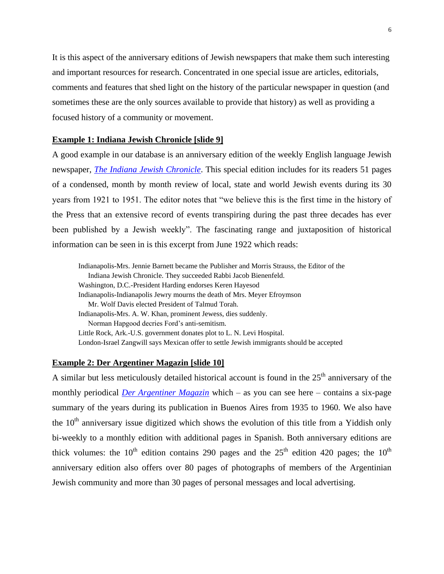It is this aspect of the anniversary editions of Jewish newspapers that make them such interesting and important resources for research. Concentrated in one special issue are articles, editorials, comments and features that shed light on the history of the particular newspaper in question (and sometimes these are the only sources available to provide that history) as well as providing a focused history of a community or movement.

## **Example 1: Indiana Jewish Chronicle [slide 9]**

A good example in our database is an anniversary edition of the weekly English language Jewish newspaper, *[The Indiana Jewish Chronicle](http://ufdc.ufl.edu/AA00000363/00001)*. This special edition includes for its readers 51 pages of a condensed, month by month review of local, state and world Jewish events during its 30 years from 1921 to 1951. The editor notes that "we believe this is the first time in the history of the Press that an extensive record of events transpiring during the past three decades has ever been published by a Jewish weekly". The fascinating range and juxtaposition of historical information can be seen in is this excerpt from June 1922 which reads:

Indianapolis-Mrs. Jennie Barnett became the Publisher and Morris Strauss, the Editor of the Indiana Jewish Chronicle. They succeeded Rabbi Jacob Bienenfeld. Washington, D.C.-President Harding endorses Keren Hayesod Indianapolis-Indianapolis Jewry mourns the death of Mrs. Meyer Efroymson Mr. Wolf Davis elected President of Talmud Torah. Indianapolis-Mrs. A. W. Khan, prominent Jewess, dies suddenly. Norman Hapgood decries Ford's anti-semitism. Little Rock, Ark.-U.S. government donates plot to L. N. Levi Hospital. London-Israel Zangwill says Mexican offer to settle Jewish immigrants should be accepted

### **Example 2: Der Argentiner Magazin [slide 10]**

A similar but less meticulously detailed historical account is found in the  $25<sup>th</sup>$  anniversary of the monthly periodical *[Der Argentiner Magazin](http://ufdc.ufl.edu/AA00000361/00001)* which – as you can see here – contains a six-page summary of the years during its publication in Buenos Aires from 1935 to 1960. We also have the  $10<sup>th</sup>$  anniversary issue digitized which shows the evolution of this title from a Yiddish only bi-weekly to a monthly edition with additional pages in Spanish. Both anniversary editions are thick volumes: the  $10^{th}$  edition contains 290 pages and the  $25^{th}$  edition 420 pages; the  $10^{th}$ anniversary edition also offers over 80 pages of photographs of members of the Argentinian Jewish community and more than 30 pages of personal messages and local advertising.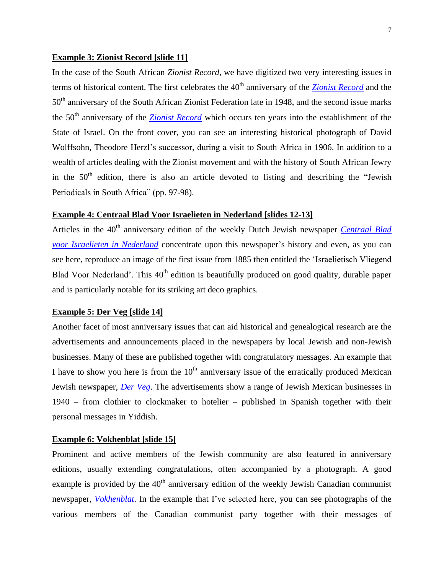## **Example 3: Zionist Record [slide 11]**

In the case of the South African *Zionist Record*, we have digitized two very interesting issues in terms of historical content. The first celebrates the 40<sup>th</sup> anniversary of the *[Zionist Record](http://ufdc.ufl.edu/AA00000372/00001)* and the 50<sup>th</sup> anniversary of the South African Zionist Federation late in 1948, and the second issue marks the 50<sup>th</sup> anniversary of the *[Zionist Record](http://ufdc.ufl.edu/AA00000372/00002)* which occurs ten years into the establishment of the State of Israel. On the front cover, you can see an interesting historical photograph of David Wolffsohn, Theodore Herzl's successor, during a visit to South Africa in 1906. In addition to a wealth of articles dealing with the Zionist movement and with the history of South African Jewry in the  $50<sup>th</sup>$  edition, there is also an article devoted to listing and describing the "Jewish" Periodicals in South Africa" (pp. 97-98).

## **Example 4: Centraal Blad Voor Israelieten in Nederland [slides 12-13]**

Articles in the 40<sup>th</sup> anniversary edition of the weekly Dutch Jewish newspaper *Centraal Blad [voor Israelieten in Nederland](http://ufdc.ufl.edu/AA00000172/00001)* concentrate upon this newspaper's history and even, as you can see here, reproduce an image of the first issue from 1885 then entitled the 'Israelietisch Vliegend Blad Voor Nederland'. This 40<sup>th</sup> edition is beautifully produced on good quality, durable paper and is particularly notable for its striking art deco graphics.

## **Example 5: Der Veg [slide 14]**

Another facet of most anniversary issues that can aid historical and genealogical research are the advertisements and announcements placed in the newspapers by local Jewish and non-Jewish businesses. Many of these are published together with congratulatory messages. An example that I have to show you here is from the  $10<sup>th</sup>$  anniversary issue of the erratically produced Mexican Jewish newspaper, *[Der Veg](http://ufdc.ufl.edu/AA00000172/00001)*. The advertisements show a range of Jewish Mexican businesses in 1940 – from clothier to clockmaker to hotelier – published in Spanish together with their personal messages in Yiddish.

## **Example 6: Vokhenblat [slide 15]**

Prominent and active members of the Jewish community are also featured in anniversary editions, usually extending congratulations, often accompanied by a photograph. A good example is provided by the  $40<sup>th</sup>$  anniversary edition of the weekly Jewish Canadian communist newspaper, *[Vokhenblat](http://ufdc.ufl.edu/AA00000174/00001)*. In the example that I've selected here, you can see photographs of the various members of the Canadian communist party together with their messages of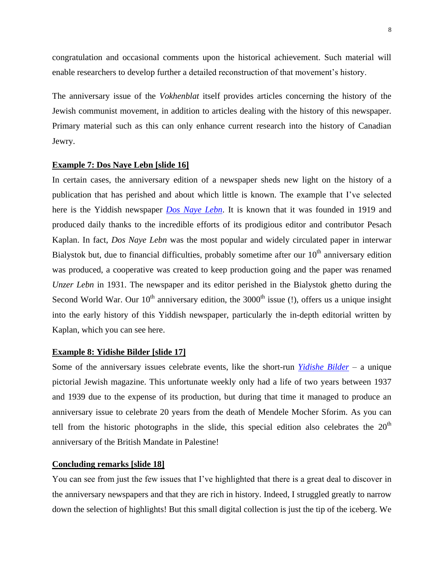congratulation and occasional comments upon the historical achievement. Such material will enable researchers to develop further a detailed reconstruction of that movement's history.

The anniversary issue of the *Vokhenblat* itself provides articles concerning the history of the Jewish communist movement, in addition to articles dealing with the history of this newspaper. Primary material such as this can only enhance current research into the history of Canadian Jewry.

## **Example 7: Dos Naye Lebn [slide 16]**

In certain cases, the anniversary edition of a newspaper sheds new light on the history of a publication that has perished and about which little is known. The example that I've selected here is the Yiddish newspaper *[Dos Naye Lebn](http://ufdc.ufl.edu/AA00000173/00001)*. It is known that it was founded in 1919 and produced daily thanks to the incredible efforts of its prodigious editor and contributor Pesach Kaplan. In fact, *Dos Naye Lebn* was the most popular and widely circulated paper in interwar Bialystok but, due to financial difficulties, probably sometime after our  $10<sup>th</sup>$  anniversary edition was produced, a cooperative was created to keep production going and the paper was renamed *Unzer Lebn* in 1931. The newspaper and its editor perished in the Bialystok ghetto during the Second World War. Our  $10<sup>th</sup>$  anniversary edition, the 3000<sup>th</sup> issue (!), offers us a unique insight into the early history of this Yiddish newspaper, particularly the in-depth editorial written by Kaplan, which you can see here.

#### **Example 8: Yidishe Bilder [slide 17]**

Some of the anniversary issues celebrate events, like the short-run *[Yidishe Bilder](http://ufdc.ufl.edu/AA00000375/00001)* – a unique pictorial Jewish magazine. This unfortunate weekly only had a life of two years between 1937 and 1939 due to the expense of its production, but during that time it managed to produce an anniversary issue to celebrate 20 years from the death of Mendele Mocher Sforim. As you can tell from the historic photographs in the slide, this special edition also celebrates the  $20<sup>th</sup>$ anniversary of the British Mandate in Palestine!

## **Concluding remarks [slide 18]**

You can see from just the few issues that I've highlighted that there is a great deal to discover in the anniversary newspapers and that they are rich in history. Indeed, I struggled greatly to narrow down the selection of highlights! But this small digital collection is just the tip of the iceberg. We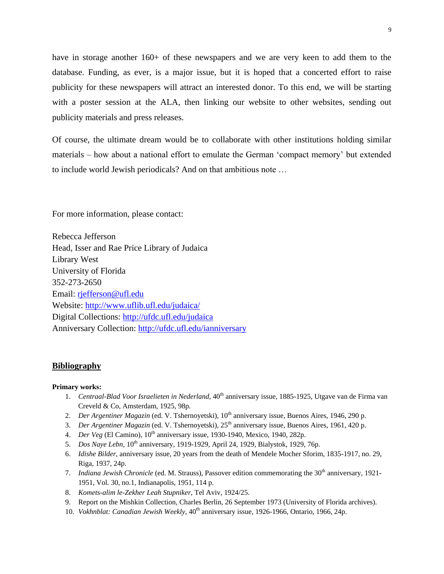have in storage another 160+ of these newspapers and we are very keen to add them to the database. Funding, as ever, is a major issue, but it is hoped that a concerted effort to raise publicity for these newspapers will attract an interested donor. To this end, we will be starting with a poster session at the ALA, then linking our website to other websites, sending out publicity materials and press releases.

Of course, the ultimate dream would be to collaborate with other institutions holding similar materials – how about a national effort to emulate the German 'compact memory' but extended to include world Jewish periodicals? And on that ambitious note …

For more information, please contact:

Rebecca Jefferson Head, Isser and Rae Price Library of Judaica Library West University of Florida 352-273-2650 Email: [rjefferson@ufl.edu](mailto:rjefferson@ufl.edu) Website:<http://www.uflib.ufl.edu/judaica/> Digital Collections:<http://ufdc.ufl.edu/judaica> Anniversary Collection:<http://ufdc.ufl.edu/ianniversary>

#### **Bibliography**

#### **Primary works:**

- 1. *Centraal-Blad Voor Israelieten in Nederland*, 40th anniversary issue, 1885-1925, Utgave van de Firma van Creveld & Co, Amsterdam, 1925, 98p.
- 2. *Der Argentiner Magazin* (ed. V. Tshernoyetski), 10<sup>th</sup> anniversary issue, Buenos Aires, 1946, 290 p.
- 3. *Der Argentiner Magazin* (ed. V. Tshernoyetski), 25th anniversary issue, Buenos Aires, 1961, 420 p.
- 4. *Der Veg* (El Camino), 10<sup>th</sup> anniversary issue, 1930-1940, Mexico, 1940, 282p.
- 5. *Dos Naye Lebn*, 10<sup>th</sup> anniversary, 1919-1929, April 24, 1929, Bialystok, 1929, 76p.
- 6. *Idishe Bilder*, anniversary issue, 20 years from the death of Mendele Mocher Sforim, 1835-1917, no. 29, Riga, 1937, 24p.
- 7. *Indiana Jewish Chronicle* (ed. M. Strauss), Passover edition commemorating the 30<sup>th</sup> anniversary, 1921-1951, Vol. 30, no.1, Indianapolis, 1951, 114 p.
- 8. *Komets-alim le-Zekher Leah Stupniker*, Tel Aviv, 1924/25.
- 9. Report on the Mishkin Collection, Charles Berlin, 26 September 1973 (University of Florida archives).
- 10. *Vokhnblat: Canadian Jewish Weekly*, 40th anniversary issue, 1926-1966, Ontario, 1966, 24p.